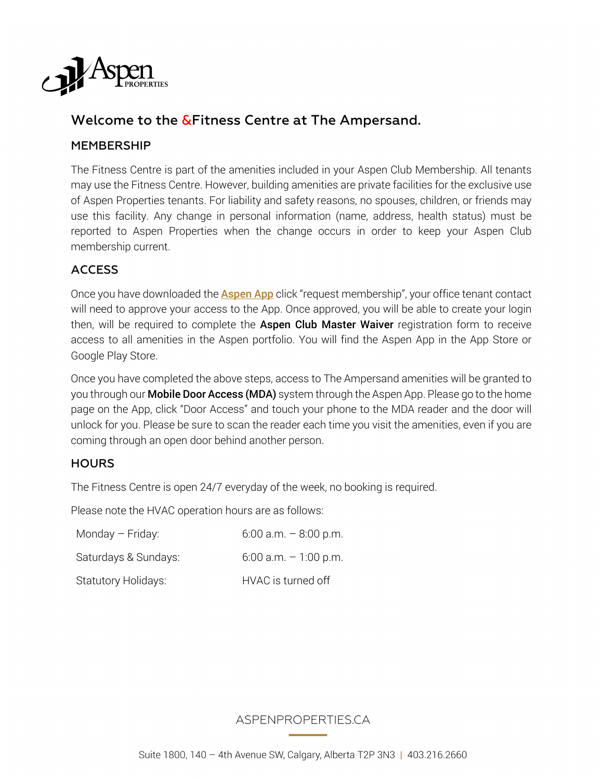

# Welcome to the &Fitness Centre at The Ampersand.

### MEMBERSHIP

The Fitness Centre is part of the amenities included in your Aspen Club Membership. All tenants may use the Fitness Centre. However, building amenities are private facilities for the exclusive use of Aspen Properties tenants. For liability and safety reasons, no spouses, children, or friends may use this facility. Any change in personal information (name, address, health status) must be reported to Aspen Properties when the change occurs in order to keep your Aspen Club membership current.

### ACCESS

Once you have downloaded the **Aspen App** click "request membership", your office tenant contact will need to approve your access to the App. Once approved, you will be able to create your login then, will be required to complete the Aspen Club Master Waiver registration form to receive access to all amenities in the Aspen portfolio. You will find the Aspen App in the App Store or Google Play Store.

Once you have completed the above steps, access to The Ampersand amenities will be granted to you through our **Mobile Door Access (MDA)** system through the Aspen App. Please go to the home page on the App, click "Door Access" and touch your phone to the MDA reader and the door will unlock for you. Please be sure to scan the reader each time you visit the amenities, even if you are coming through an open door behind another person.

#### **HOURS**

The Fitness Centre is open 24/7 everyday of the week, no booking is required.

Please note the HVAC operation hours are as follows:

| Monday - Friday:           | $6:00$ a.m. $-8:00$ p.m. |
|----------------------------|--------------------------|
| Saturdays & Sundays:       | $6:00$ a.m. $-1:00$ p.m. |
| <b>Statutory Holidays:</b> | HVAC is turned off       |

### ASPENPROPERTIES.CA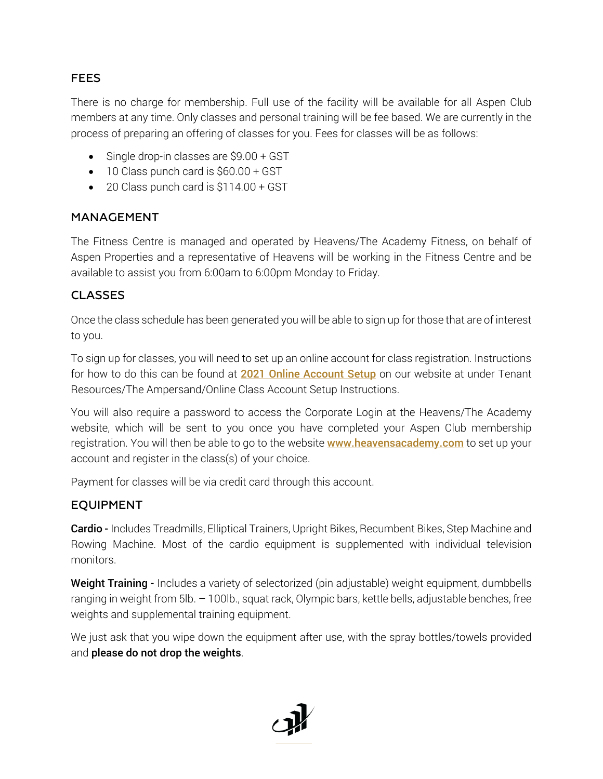### FEES

There is no charge for membership. Full use of the facility will be available for all Aspen Club members at any time. Only classes and personal training will be fee based. We are currently in the process of preparing an offering of classes for you. Fees for classes will be as follows:

- Single drop-in classes are \$9.00 + GST
- 10 Class punch card is \$60.00 + GST
- 20 Class punch card is \$114.00 + GST

#### MANAGEMENT

The Fitness Centre is managed and operated by Heavens/The Academy Fitness, on behalf of Aspen Properties and a representative of Heavens will be working in the Fitness Centre and be available to assist you from 6:00am to 6:00pm Monday to Friday.

### CLASSES

Once the class schedule has been generated you will be able to sign up for those that are of interest to you.

To sign up for classes, you will need to set up an online account for class registration. Instructions for how to do this can be found at 2021 Online Account Setup on our website at under Tenant Resources/The Ampersand/Online Class Account Setup Instructions.

You will also require a password to access the Corporate Login at the Heavens/The Academy website, which will be sent to you once you have completed your Aspen Club membership registration. You will then be able to go to the website **www.heavensacademy.com** to set up your account and register in the class(s) of your choice.

Payment for classes will be via credit card through this account.

### EQUIPMENT

Cardio - Includes Treadmills, Elliptical Trainers, Upright Bikes, Recumbent Bikes, Step Machine and Rowing Machine. Most of the cardio equipment is supplemented with individual television monitors.

Weight Training - Includes a variety of selectorized (pin adjustable) weight equipment, dumbbells ranging in weight from 5lb. – 100lb., squat rack, Olympic bars, kettle bells, adjustable benches, free weights and supplemental training equipment.

We just ask that you wipe down the equipment after use, with the spray bottles/towels provided and please do not drop the weights.

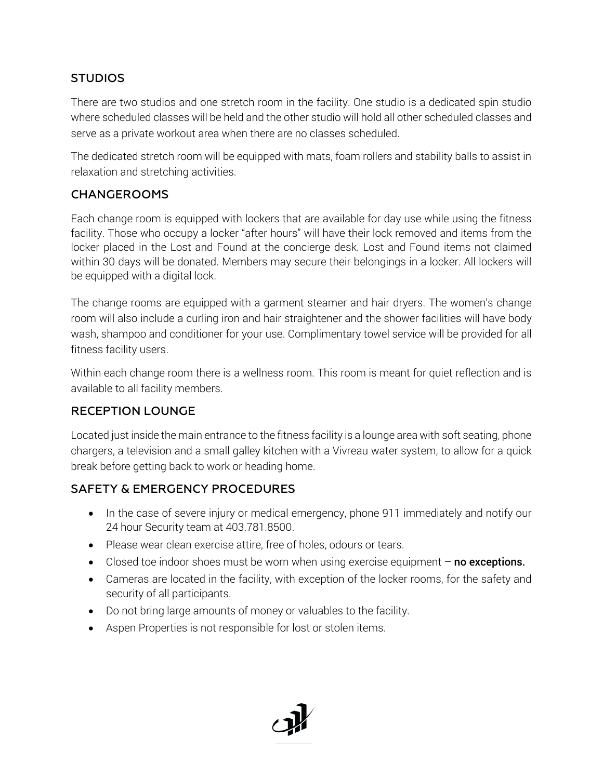## **STUDIOS**

There are two studios and one stretch room in the facility. One studio is a dedicated spin studio where scheduled classes will be held and the other studio will hold all other scheduled classes and serve as a private workout area when there are no classes scheduled.

The dedicated stretch room will be equipped with mats, foam rollers and stability balls to assist in relaxation and stretching activities.

### CHANGEROOMS

Each change room is equipped with lockers that are available for day use while using the fitness facility. Those who occupy a locker "after hours" will have their lock removed and items from the locker placed in the Lost and Found at the concierge desk. Lost and Found items not claimed within 30 days will be donated. Members may secure their belongings in a locker. All lockers will be equipped with a digital lock.

The change rooms are equipped with a garment steamer and hair dryers. The women's change room will also include a curling iron and hair straightener and the shower facilities will have body wash, shampoo and conditioner for your use. Complimentary towel service will be provided for all fitness facility users.

Within each change room there is a wellness room. This room is meant for quiet reflection and is available to all facility members.

### RECEPTION LOUNGE

Located just inside the main entrance to the fitness facility is a lounge area with soft seating, phone chargers, a television and a small galley kitchen with a Vivreau water system, to allow for a quick break before getting back to work or heading home.

### SAFETY & EMERGENCY PROCEDURES

- In the case of severe injury or medical emergency, phone 911 immediately and notify our 24 hour Security team at 403.781.8500.
- Please wear clean exercise attire, free of holes, odours or tears.
- Closed toe indoor shoes must be worn when using exercise equipment  $-$  no exceptions.
- Cameras are located in the facility, with exception of the locker rooms, for the safety and security of all participants.
- Do not bring large amounts of money or valuables to the facility.
- Aspen Properties is not responsible for lost or stolen items.